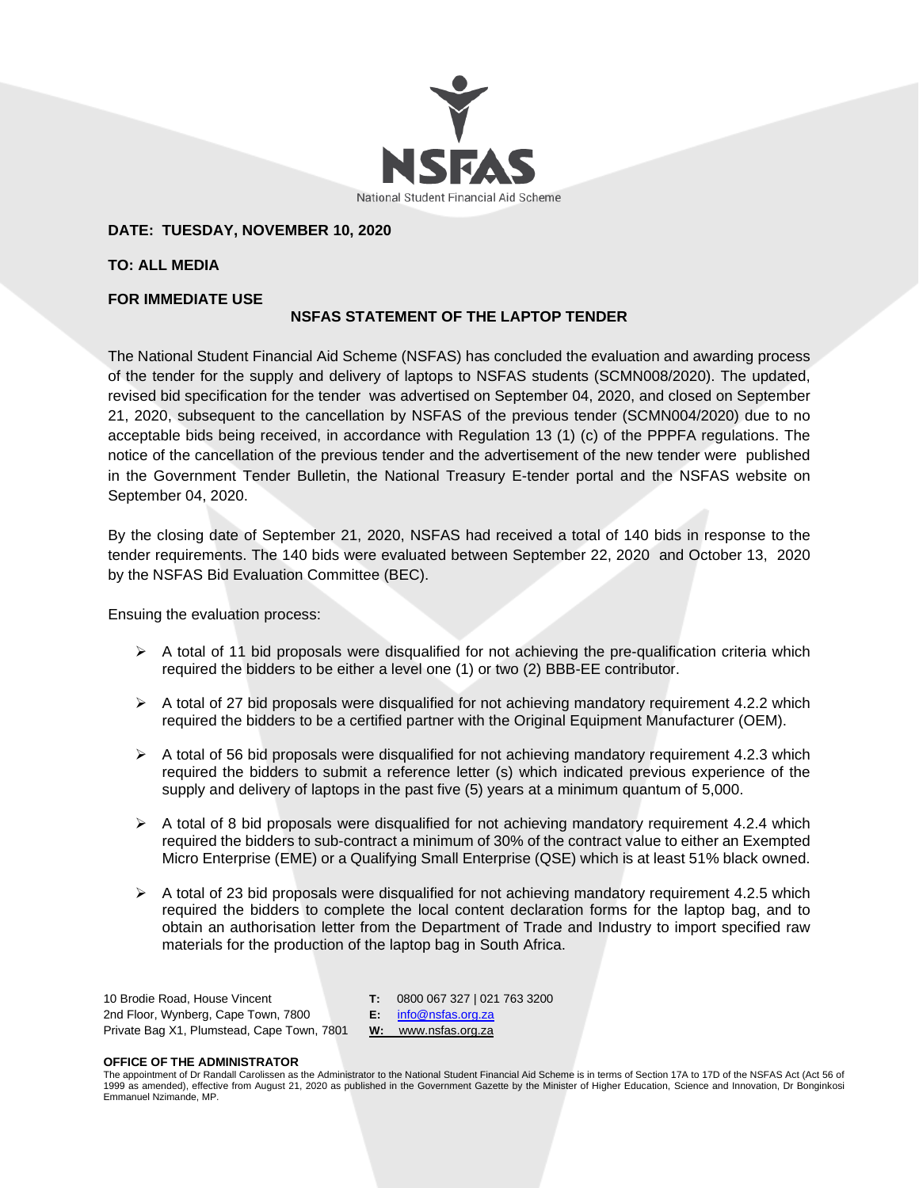

## **DATE: TUESDAY, NOVEMBER 10, 2020**

**TO: ALL MEDIA**

## **FOR IMMEDIATE USE**

# **NSFAS STATEMENT OF THE LAPTOP TENDER**

The National Student Financial Aid Scheme (NSFAS) has concluded the evaluation and awarding process of the tender for the supply and delivery of laptops to NSFAS students (SCMN008/2020). The updated, revised bid specification for the tender was advertised on September 04, 2020, and closed on September 21, 2020, subsequent to the cancellation by NSFAS of the previous tender (SCMN004/2020) due to no acceptable bids being received, in accordance with Regulation 13 (1) (c) of the PPPFA regulations. The notice of the cancellation of the previous tender and the advertisement of the new tender were published in the Government Tender Bulletin, the National Treasury E-tender portal and the NSFAS website on September 04, 2020.

By the closing date of September 21, 2020, NSFAS had received a total of 140 bids in response to the tender requirements. The 140 bids were evaluated between September 22, 2020 and October 13, 2020 by the NSFAS Bid Evaluation Committee (BEC).

Ensuing the evaluation process:

- $\triangleright$  A total of 11 bid proposals were disqualified for not achieving the pre-qualification criteria which required the bidders to be either a level one (1) or two (2) BBB-EE contributor.
- $\triangleright$  A total of 27 bid proposals were disqualified for not achieving mandatory requirement 4.2.2 which required the bidders to be a certified partner with the Original Equipment Manufacturer (OEM).
- $\triangleright$  A total of 56 bid proposals were disqualified for not achieving mandatory requirement 4.2.3 which required the bidders to submit a reference letter (s) which indicated previous experience of the supply and delivery of laptops in the past five (5) years at a minimum quantum of 5,000.
- $\triangleright$  A total of 8 bid proposals were disqualified for not achieving mandatory requirement 4.2.4 which required the bidders to sub-contract a minimum of 30% of the contract value to either an Exempted Micro Enterprise (EME) or a Qualifying Small Enterprise (QSE) which is at least 51% black owned.
- $\triangleright$  A total of 23 bid proposals were disqualified for not achieving mandatory requirement 4.2.5 which required the bidders to complete the local content declaration forms for the laptop bag, and to obtain an authorisation letter from the Department of Trade and Industry to import specified raw materials for the production of the laptop bag in South Africa.

10 Brodie Road, House Vincent 2nd Floor, Wynberg, Cape Town, 7800 Private Bag X1, Plumstead, Cape Town, 7801 **T:** 0800 067 327 | 021 763 3200 **E:** [info@nsfas.org.za](mailto:info@nsfas.org.za) **W:** www.nsfas.org.za

### **OFFICE OF THE ADMINISTRATOR**

The appointment of Dr Randall Carolissen as the Administrator to the National Student Financial Aid Scheme is in terms of Section 17A to 17D of the NSFAS Act (Act 56 of<br>1999 as amended), effective from August 21, 2020 as p Emmanuel Nzimande, MP.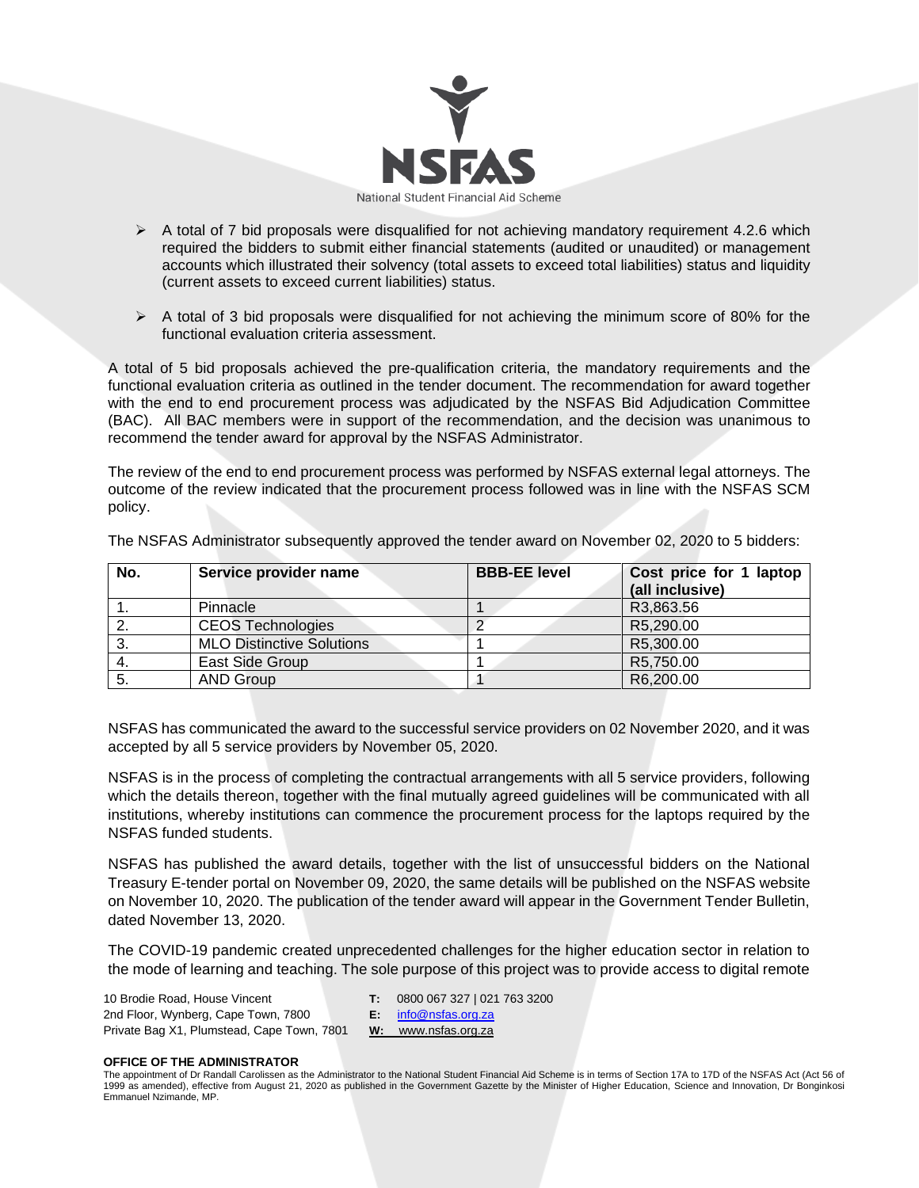

- $\triangleright$  A total of 7 bid proposals were disqualified for not achieving mandatory requirement 4.2.6 which required the bidders to submit either financial statements (audited or unaudited) or management accounts which illustrated their solvency (total assets to exceed total liabilities) status and liquidity (current assets to exceed current liabilities) status.
- $\triangleright$  A total of 3 bid proposals were disqualified for not achieving the minimum score of 80% for the functional evaluation criteria assessment.

A total of 5 bid proposals achieved the pre-qualification criteria, the mandatory requirements and the functional evaluation criteria as outlined in the tender document. The recommendation for award together with the end to end procurement process was adjudicated by the NSFAS Bid Adjudication Committee (BAC). All BAC members were in support of the recommendation, and the decision was unanimous to recommend the tender award for approval by the NSFAS Administrator.

The review of the end to end procurement process was performed by NSFAS external legal attorneys. The outcome of the review indicated that the procurement process followed was in line with the NSFAS SCM policy.

| No. | Service provider name            | <b>BBB-EE level</b> | Cost price for 1 laptop |
|-----|----------------------------------|---------------------|-------------------------|
|     |                                  |                     | (all inclusive)         |
|     | Pinnacle                         |                     | R3,863.56               |
|     | <b>CEOS Technologies</b>         |                     | R5,290.00               |
| -3. | <b>MLO Distinctive Solutions</b> |                     | R5,300.00               |
|     | East Side Group                  |                     | R5,750.00               |
| 5.  | <b>AND Group</b>                 |                     | R6,200.00               |

The NSFAS Administrator subsequently approved the tender award on November 02, 2020 to 5 bidders:

NSFAS has communicated the award to the successful service providers on 02 November 2020, and it was accepted by all 5 service providers by November 05, 2020.

NSFAS is in the process of completing the contractual arrangements with all 5 service providers, following which the details thereon, together with the final mutually agreed guidelines will be communicated with all institutions, whereby institutions can commence the procurement process for the laptops required by the NSFAS funded students.

NSFAS has published the award details, together with the list of unsuccessful bidders on the National Treasury E-tender portal on November 09, 2020, the same details will be published on the NSFAS website on November 10, 2020. The publication of the tender award will appear in the Government Tender Bulletin, dated November 13, 2020.

The COVID-19 pandemic created unprecedented challenges for the higher education sector in relation to the mode of learning and teaching. The sole purpose of this project was to provide access to digital remote

10 Brodie Road, House Vincent 2nd Floor, Wynberg, Cape Town, 7800 Private Bag X1, Plumstead, Cape Town, 7801 **T:** 0800 067 327 | 021 763 3200

**E:** [info@nsfas.org.za](mailto:info@nsfas.org.za) **W:** www.nsfas.org.za

#### **OFFICE OF THE ADMINISTRATOR**

The appointment of Dr Randall Carolissen as the Administrator to the National Student Financial Aid Scheme is in terms of Section 17A to 17D of the NSFAS Act (Act 56 of<br>1999 as amended), effective from August 21, 2020 as p Emmanuel Nzimande, MP.